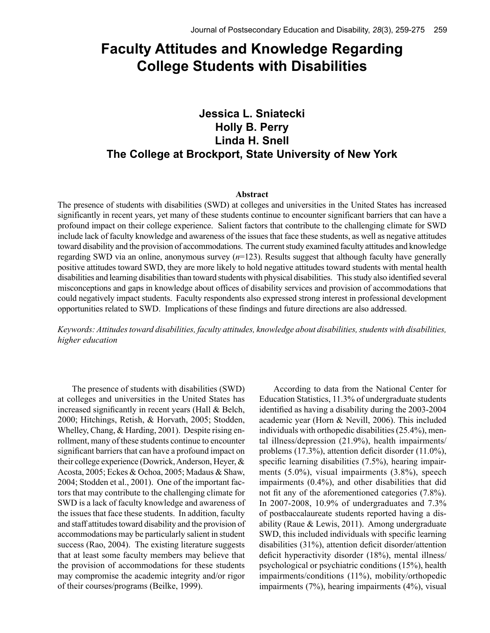# **Faculty Attitudes and Knowledge Regarding College Students with Disabilities**

# **Jessica L. Sniatecki Holly B. Perry Linda H. Snell The College at Brockport, State University of New York**

### **Abstract**

The presence of students with disabilities (SWD) at colleges and universities in the United States has increased significantly in recent years, yet many of these students continue to encounter significant barriers that can have a profound impact on their college experience. Salient factors that contribute to the challenging climate for SWD include lack of faculty knowledge and awareness of the issues that face these students, as well as negative attitudes toward disability and the provision of accommodations. The current study examined faculty attitudes and knowledge regarding SWD via an online, anonymous survey (*n*=123). Results suggest that although faculty have generally positive attitudes toward SWD, they are more likely to hold negative attitudes toward students with mental health disabilities and learning disabilities than toward students with physical disabilities. This study also identified several misconceptions and gaps in knowledge about offices of disability services and provision of accommodations that could negatively impact students. Faculty respondents also expressed strong interest in professional development opportunities related to SWD. Implications of these findings and future directions are also addressed.

*Keywords: Attitudes toward disabilities, faculty attitudes, knowledge about disabilities, students with disabilities, higher education*

The presence of students with disabilities (SWD) at colleges and universities in the United States has increased significantly in recent years (Hall & Belch, 2000; Hitchings, Retish, & Horvath, 2005; Stodden, Whelley, Chang, & Harding, 2001). Despite rising enrollment, many of these students continue to encounter significant barriers that can have a profound impact on their college experience (Dowrick, Anderson, Heyer, & Acosta, 2005; Eckes & Ochoa, 2005; Madaus & Shaw, 2004; Stodden et al., 2001). One of the important factors that may contribute to the challenging climate for SWD is a lack of faculty knowledge and awareness of the issues that face these students. In addition, faculty and staff attitudes toward disability and the provision of accommodations may be particularly salient in student success (Rao, 2004). The existing literature suggests that at least some faculty members may believe that the provision of accommodations for these students may compromise the academic integrity and/or rigor of their courses/programs (Beilke, 1999).

According to data from the National Center for Education Statistics, 11.3% of undergraduate students identified as having a disability during the 2003-2004 academic year (Horn & Nevill, 2006). This included individuals with orthopedic disabilities (25.4%), mental illness/depression (21.9%), health impairments/ problems (17.3%), attention deficit disorder (11.0%), specific learning disabilities (7.5%), hearing impairments (5.0%), visual impairments (3.8%), speech impairments (0.4%), and other disabilities that did not fit any of the aforementioned categories (7.8%). In 2007-2008, 10.9% of undergraduates and 7.3% of postbaccalaureate students reported having a disability (Raue & Lewis, 2011). Among undergraduate SWD, this included individuals with specific learning disabilities (31%), attention deficit disorder/attention deficit hyperactivity disorder (18%), mental illness/ psychological or psychiatric conditions (15%), health impairments/conditions (11%), mobility/orthopedic impairments (7%), hearing impairments (4%), visual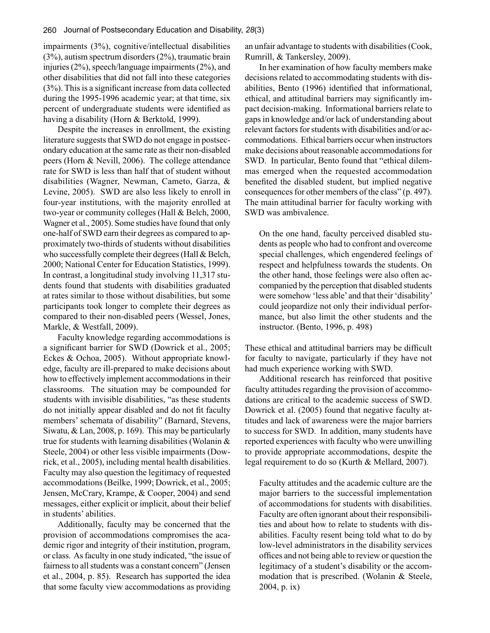impairments (3%), cognitive/intellectual disabilities (3%), autism spectrum disorders (2%), traumatic brain injuries (2%), speech/language impairments (2%), and other disabilities that did not fall into these categories (3%). This is a significant increase from data collected during the 1995-1996 academic year; at that time, six percent of undergraduate students were identified as having a disability (Horn & Berktold, 1999).

Despite the increases in enrollment, the existing literature suggests that SWD do not engage in postsecondary education at the same rate as their non-disabled peers (Horn & Nevill, 2006). The college attendance rate for SWD is less than half that of student without disabilities (Wagner, Newman, Cameto, Garza, & Levine, 2005). SWD are also less likely to enroll in four-year institutions, with the majority enrolled at two-year or community colleges (Hall & Belch, 2000, Wagner et al., 2005). Some studies have found that only one-half of SWD earn their degrees as compared to approximately two-thirds of students without disabilities who successfully complete their degrees (Hall & Belch, 2000; National Center for Education Statistics, 1999). In contrast, a longitudinal study involving 11,317 students found that students with disabilities graduated at rates similar to those without disabilities, but some participants took longer to complete their degrees as compared to their non-disabled peers (Wessel, Jones, Markle, & Westfall, 2009).

Faculty knowledge regarding accommodations is a significant barrier for SWD (Dowrick et al., 2005; Eckes & Ochoa, 2005). Without appropriate knowledge, faculty are ill-prepared to make decisions about how to effectively implement accommodations in their classrooms. The situation may be compounded for students with invisible disabilities, "as these students do not initially appear disabled and do not fit faculty members' schemata of disability" (Barnard, Stevens, Siwatu, & Lan, 2008, p. 169). This may be particularly true for students with learning disabilities (Wolanin & Steele, 2004) or other less visible impairments (Dowrick, et al., 2005), including mental health disabilities. Faculty may also question the legitimacy of requested accommodations (Beilke, 1999; Dowrick, et al., 2005; Jensen, McCrary, Krampe, & Cooper, 2004) and send messages, either explicit or implicit, about their belief in students' abilities.

Additionally, faculty may be concerned that the provision of accommodations compromises the academic rigor and integrity of their institution, program, or class. As faculty in one study indicated, "the issue of fairness to all students was a constant concern" (Jensen et al., 2004, p. 85). Research has supported the idea that some faculty view accommodations as providing an unfair advantage to students with disabilities (Cook, Rumrill, & Tankersley, 2009).

In her examination of how faculty members make decisions related to accommodating students with disabilities, Bento (1996) identified that informational, ethical, and attitudinal barriers may significantly impact decision-making. Informational barriers relate to gaps in knowledge and/or lack of understanding about relevant factors for students with disabilities and/or accommodations. Ethical barriers occur when instructors make decisions about reasonable accommodations for SWD. In particular, Bento found that "ethical dilemmas emerged when the requested accommodation benefited the disabled student, but implied negative consequences for other members of the class" (p. 497). The main attitudinal barrier for faculty working with SWD was ambivalence.

On the one hand, faculty perceived disabled students as people who had to confront and overcome special challenges, which engendered feelings of respect and helpfulness towards the students. On the other hand, those feelings were also often accompanied by the perception that disabled students were somehow 'less able' and that their 'disability' could jeopardize not only their individual performance, but also limit the other students and the instructor. (Bento, 1996, p. 498)

These ethical and attitudinal barriers may be difficult for faculty to navigate, particularly if they have not had much experience working with SWD.

Additional research has reinforced that positive faculty attitudes regarding the provision of accommodations are critical to the academic success of SWD. Dowrick et al. (2005) found that negative faculty attitudes and lack of awareness were the major barriers to success for SWD. In addition, many students have reported experiences with faculty who were unwilling to provide appropriate accommodations, despite the legal requirement to do so (Kurth & Mellard, 2007).

Faculty attitudes and the academic culture are the major barriers to the successful implementation of accommodations for students with disabilities. Faculty are often ignorant about their responsibilities and about how to relate to students with disabilities. Faculty resent being told what to do by low-level administrators in the disability services offices and not being able to review or question the legitimacy of a student's disability or the accommodation that is prescribed. (Wolanin & Steele, 2004, p. ix)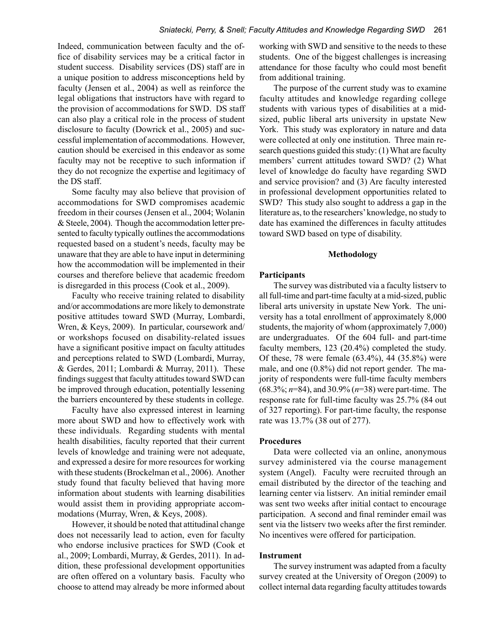Indeed, communication between faculty and the office of disability services may be a critical factor in student success. Disability services (DS) staff are in a unique position to address misconceptions held by faculty (Jensen et al., 2004) as well as reinforce the legal obligations that instructors have with regard to the provision of accommodations for SWD. DS staff can also play a critical role in the process of student disclosure to faculty (Dowrick et al., 2005) and successful implementation of accommodations. However, caution should be exercised in this endeavor as some faculty may not be receptive to such information if they do not recognize the expertise and legitimacy of the DS staff.

Some faculty may also believe that provision of accommodations for SWD compromises academic freedom in their courses (Jensen et al., 2004; Wolanin & Steele, 2004). Though the accommodation letter presented to faculty typically outlines the accommodations requested based on a student's needs, faculty may be unaware that they are able to have input in determining how the accommodation will be implemented in their courses and therefore believe that academic freedom is disregarded in this process (Cook et al., 2009).

Faculty who receive training related to disability and/or accommodations are more likely to demonstrate positive attitudes toward SWD (Murray, Lombardi, Wren, & Keys, 2009). In particular, coursework and/ or workshops focused on disability-related issues have a significant positive impact on faculty attitudes and perceptions related to SWD (Lombardi, Murray, & Gerdes, 2011; Lombardi & Murray, 2011). These findings suggest that faculty attitudes toward SWD can be improved through education, potentially lessening the barriers encountered by these students in college.

Faculty have also expressed interest in learning more about SWD and how to effectively work with these individuals. Regarding students with mental health disabilities, faculty reported that their current levels of knowledge and training were not adequate, and expressed a desire for more resources for working with these students (Brockelman et al., 2006). Another study found that faculty believed that having more information about students with learning disabilities would assist them in providing appropriate accommodations (Murray, Wren, & Keys, 2008).

However, it should be noted that attitudinal change does not necessarily lead to action, even for faculty who endorse inclusive practices for SWD (Cook et al., 2009; Lombardi, Murray, & Gerdes, 2011). In addition, these professional development opportunities are often offered on a voluntary basis. Faculty who choose to attend may already be more informed about working with SWD and sensitive to the needs to these students. One of the biggest challenges is increasing attendance for those faculty who could most benefit from additional training.

The purpose of the current study was to examine faculty attitudes and knowledge regarding college students with various types of disabilities at a midsized, public liberal arts university in upstate New York. This study was exploratory in nature and data were collected at only one institution. Three main research questions guided this study: (1) What are faculty members' current attitudes toward SWD? (2) What level of knowledge do faculty have regarding SWD and service provision? and (3) Are faculty interested in professional development opportunities related to SWD? This study also sought to address a gap in the literature as, to the researchers' knowledge, no study to date has examined the differences in faculty attitudes toward SWD based on type of disability.

#### **Methodology**

### **Participants**

The survey was distributed via a faculty listserv to all full-time and part-time faculty at a mid-sized, public liberal arts university in upstate New York. The university has a total enrollment of approximately 8,000 students, the majority of whom (approximately 7,000) are undergraduates. Of the 604 full- and part-time faculty members, 123 (20.4%) completed the study. Of these, 78 were female (63.4%), 44 (35.8%) were male, and one (0.8%) did not report gender. The majority of respondents were full-time faculty members (68.3%; *n*=84), and 30.9% (*n*=38) were part-time. The response rate for full-time faculty was 25.7% (84 out of 327 reporting). For part-time faculty, the response rate was 13.7% (38 out of 277).

#### **Procedures**

Data were collected via an online, anonymous survey administered via the course management system (Angel). Faculty were recruited through an email distributed by the director of the teaching and learning center via listserv. An initial reminder email was sent two weeks after initial contact to encourage participation. A second and final reminder email was sent via the listserv two weeks after the first reminder. No incentives were offered for participation.

# **Instrument**

The survey instrument was adapted from a faculty survey created at the University of Oregon (2009) to collect internal data regarding faculty attitudes towards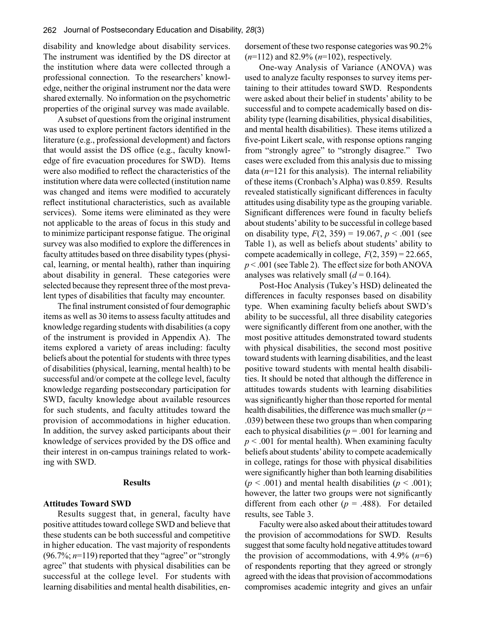disability and knowledge about disability services. The instrument was identified by the DS director at the institution where data were collected through a professional connection. To the researchers' knowledge, neither the original instrument nor the data were shared externally. No information on the psychometric properties of the original survey was made available.

A subset of questions from the original instrument was used to explore pertinent factors identified in the literature (e.g., professional development) and factors that would assist the DS office (e.g., faculty knowledge of fire evacuation procedures for SWD). Items were also modified to reflect the characteristics of the institution where data were collected (institution name was changed and items were modified to accurately reflect institutional characteristics, such as available services). Some items were eliminated as they were not applicable to the areas of focus in this study and to minimize participant response fatigue. The original survey was also modified to explore the differences in faculty attitudes based on three disability types (physical, learning, or mental health), rather than inquiring about disability in general. These categories were selected because they represent three of the most prevalent types of disabilities that faculty may encounter.

The final instrument consisted of four demographic items as well as 30 items to assess faculty attitudes and knowledge regarding students with disabilities (a copy of the instrument is provided in Appendix A). The items explored a variety of areas including: faculty beliefs about the potential for students with three types of disabilities (physical, learning, mental health) to be successful and/or compete at the college level, faculty knowledge regarding postsecondary participation for SWD, faculty knowledge about available resources for such students, and faculty attitudes toward the provision of accommodations in higher education. In addition, the survey asked participants about their knowledge of services provided by the DS office and their interest in on-campus trainings related to working with SWD.

#### **Results**

#### **Attitudes Toward SWD**

Results suggest that, in general, faculty have positive attitudes toward college SWD and believe that these students can be both successful and competitive in higher education. The vast majority of respondents (96.7%; *n*=119) reported that they "agree" or "strongly agree" that students with physical disabilities can be successful at the college level. For students with learning disabilities and mental health disabilities, endorsement of these two response categories was 90.2% (*n*=112) and 82.9% (*n*=102), respectively.

One-way Analysis of Variance (ANOVA) was used to analyze faculty responses to survey items pertaining to their attitudes toward SWD. Respondents were asked about their belief in students' ability to be successful and to compete academically based on disability type (learning disabilities, physical disabilities, and mental health disabilities). These items utilized a five-point Likert scale, with response options ranging from "strongly agree" to "strongly disagree." Two cases were excluded from this analysis due to missing data (*n*=121 for this analysis). The internal reliability of these items (Cronbach's Alpha) was 0.859. Results revealed statistically significant differences in faculty attitudes using disability type as the grouping variable. Significant differences were found in faculty beliefs about students' ability to be successful in college based on disability type,  $F(2, 359) = 19.067$ ,  $p < .001$  (see Table 1), as well as beliefs about students' ability to compete academically in college,  $F(2, 359) = 22.665$ , *p* < .001 (see Table 2). The effect size for both ANOVA analyses was relatively small  $(d = 0.164)$ .

Post-Hoc Analysis (Tukey's HSD) delineated the differences in faculty responses based on disability type. When examining faculty beliefs about SWD's ability to be successful, all three disability categories were significantly different from one another, with the most positive attitudes demonstrated toward students with physical disabilities, the second most positive toward students with learning disabilities, and the least positive toward students with mental health disabilities. It should be noted that although the difference in attitudes towards students with learning disabilities was significantly higher than those reported for mental health disabilities, the difference was much smaller (*p* = .039) between these two groups than when comparing each to physical disabilities ( $p = .001$  for learning and  $p < .001$  for mental health). When examining faculty beliefs about students' ability to compete academically in college, ratings for those with physical disabilities were significantly higher than both learning disabilities  $(p < .001)$  and mental health disabilities  $(p < .001)$ ; however, the latter two groups were not significantly different from each other  $(p = .488)$ . For detailed results, see Table 3.

Faculty were also asked about their attitudes toward the provision of accommodations for SWD. Results suggest that some faculty hold negative attitudes toward the provision of accommodations, with  $4.9\%$  ( $n=6$ ) of respondents reporting that they agreed or strongly agreed with the ideas that provision of accommodations compromises academic integrity and gives an unfair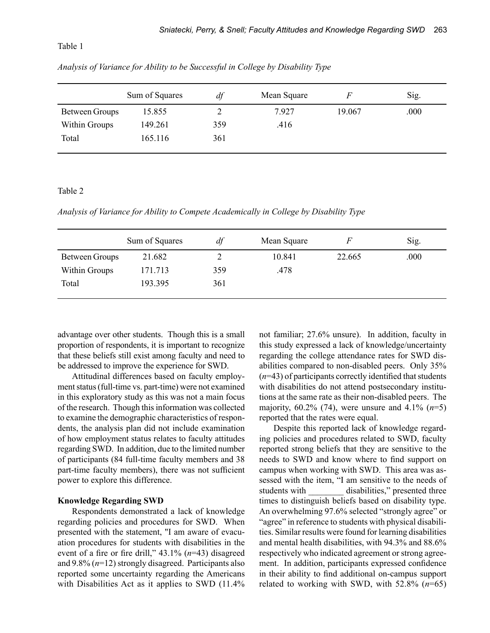Table 1

Sum of Squares *df* Mean Square *F* Sig. Between Groups 15.855 2 7.927 19.067 000 Within Groups 149.261 359 .416 Total 165.116 361

*Analysis of Variance for Ability to be Successful in College by Disability Type*

## Table 2

*Analysis of Variance for Ability to Compete Academically in College by Disability Type*

|                       | Sum of Squares | df  | Mean Square | F      | Sig. |
|-----------------------|----------------|-----|-------------|--------|------|
| <b>Between Groups</b> | 21.682         |     | 10.841      | 22.665 | .000 |
| Within Groups         | 171.713        | 359 | .478        |        |      |
| Total                 | 193.395        | 361 |             |        |      |
|                       |                |     |             |        |      |

advantage over other students. Though this is a small proportion of respondents, it is important to recognize that these beliefs still exist among faculty and need to be addressed to improve the experience for SWD.

Attitudinal differences based on faculty employment status (full-time vs. part-time) were not examined in this exploratory study as this was not a main focus of the research. Though this information was collected to examine the demographic characteristics of respondents, the analysis plan did not include examination of how employment status relates to faculty attitudes regarding SWD. In addition, due to the limited number of participants (84 full-time faculty members and 38 part-time faculty members), there was not sufficient power to explore this difference.

# **Knowledge Regarding SWD**

Respondents demonstrated a lack of knowledge regarding policies and procedures for SWD. When presented with the statement, "I am aware of evacuation procedures for students with disabilities in the event of a fire or fire drill," 43.1% (*n*=43) disagreed and 9.8% (*n*=12) strongly disagreed. Participants also reported some uncertainty regarding the Americans with Disabilities Act as it applies to SWD (11.4%)

not familiar; 27.6% unsure). In addition, faculty in this study expressed a lack of knowledge/uncertainty regarding the college attendance rates for SWD disabilities compared to non-disabled peers. Only 35% (*n*=43) of participants correctly identified that students with disabilities do not attend postsecondary institutions at the same rate as their non-disabled peers. The majority, 60.2% (74), were unsure and 4.1% (*n*=5) reported that the rates were equal.

Despite this reported lack of knowledge regarding policies and procedures related to SWD, faculty reported strong beliefs that they are sensitive to the needs to SWD and know where to find support on campus when working with SWD. This area was assessed with the item, "I am sensitive to the needs of students with disabilities," presented three times to distinguish beliefs based on disability type. An overwhelming 97.6% selected "strongly agree" or "agree" in reference to students with physical disabilities. Similar results were found for learning disabilities and mental health disabilities, with 94.3% and 88.6% respectively who indicated agreement or strong agreement. In addition, participants expressed confidence in their ability to find additional on-campus support related to working with SWD, with 52.8% (*n*=65)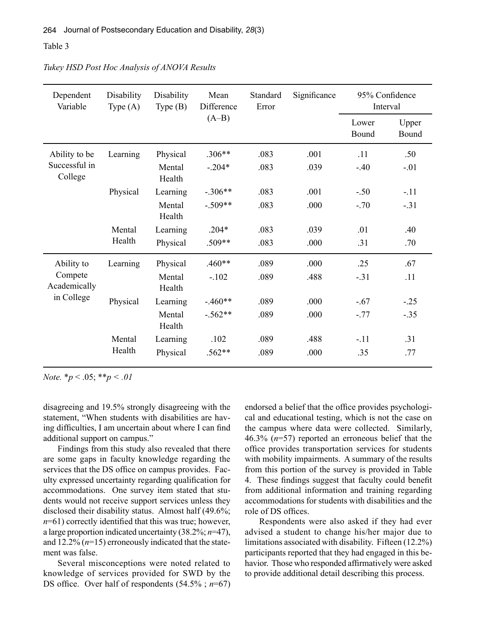### Table 3

| Dependent<br>Variable                               | Disability<br>Type $(A)$ | Disability<br>Type $(B)$ | Mean<br>Difference<br>$(A-B)$ | Standard<br>Error | Significance | 95% Confidence<br>Interval |                |
|-----------------------------------------------------|--------------------------|--------------------------|-------------------------------|-------------------|--------------|----------------------------|----------------|
|                                                     |                          |                          |                               |                   |              | Lower<br>Bound             | Upper<br>Bound |
| Ability to be<br>Successful in<br>College           | Learning                 | Physical                 | $.306**$                      | .083              | .001         | .11                        | .50            |
|                                                     |                          | Mental<br>Health         | $-.204*$                      | .083              | .039         | $-.40$                     | $-.01$         |
|                                                     | Physical                 | Learning                 | $-.306**$                     | .083              | .001         | $-.50$                     | $-.11$         |
|                                                     |                          | Mental<br>Health         | $-.509**$                     | .083              | .000         | $-.70$                     | $-.31$         |
|                                                     | Mental<br>Health         | Learning                 | $.204*$                       | .083              | .039         | .01                        | .40            |
|                                                     |                          | Physical                 | $.509**$                      | .083              | .000         | .31                        | .70            |
| Ability to<br>Compete<br>Academically<br>in College | Learning                 | Physical                 | $.460**$                      | .089              | .000         | .25                        | .67            |
|                                                     |                          | Mental<br>Health         | $-.102$                       | .089              | .488         | $-.31$                     | .11            |
|                                                     | Physical                 | Learning                 | $-.460**$                     | .089              | .000         | $-.67$                     | $-.25$         |
|                                                     |                          | Mental<br>Health         | $-.562**$                     | .089              | .000         | $-.77$                     | $-.35$         |
|                                                     | Mental<br>Health         | Learning                 | .102                          | .089              | .488         | $-.11$                     | .31            |
|                                                     |                          | Physical                 | $.562**$                      | .089              | .000         | .35                        | .77            |

*Tukey HSD Post Hoc Analysis of ANOVA Results*

*Note.* \**p* < .05; \*\**p < .01*

disagreeing and 19.5% strongly disagreeing with the statement, "When students with disabilities are having difficulties, I am uncertain about where I can find additional support on campus."

Findings from this study also revealed that there are some gaps in faculty knowledge regarding the services that the DS office on campus provides. Faculty expressed uncertainty regarding qualification for accommodations. One survey item stated that students would not receive support services unless they disclosed their disability status. Almost half (49.6%; *n*=61) correctly identified that this was true; however, a large proportion indicated uncertainty (38.2%; *n*=47), and 12.2% (*n*=15) erroneously indicated that the statement was false.

Several misconceptions were noted related to knowledge of services provided for SWD by the DS office. Over half of respondents (54.5% ; *n*=67)

endorsed a belief that the office provides psychological and educational testing, which is not the case on the campus where data were collected. Similarly, 46.3% (*n*=57) reported an erroneous belief that the office provides transportation services for students with mobility impairments. A summary of the results from this portion of the survey is provided in Table 4. These findings suggest that faculty could benefit from additional information and training regarding accommodations for students with disabilities and the role of DS offices.

Respondents were also asked if they had ever advised a student to change his/her major due to limitations associated with disability. Fifteen (12.2%) participants reported that they had engaged in this behavior. Those who responded affirmatively were asked to provide additional detail describing this process.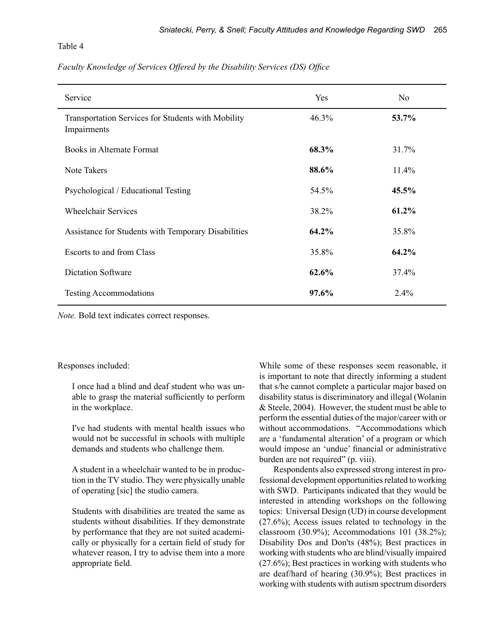Table 4

# *Faculty Knowledge of Services Offered by the Disability Services (DS) Office*

| Service                                                           | Yes   | N <sub>0</sub> |
|-------------------------------------------------------------------|-------|----------------|
| Transportation Services for Students with Mobility<br>Impairments | 46.3% | 53.7%          |
| <b>Books in Alternate Format</b>                                  | 68.3% | 31.7%          |
| Note Takers                                                       | 88.6% | 11.4%          |
| Psychological / Educational Testing                               | 54.5% | 45.5%          |
| <b>Wheelchair Services</b>                                        | 38.2% | 61.2%          |
| Assistance for Students with Temporary Disabilities               | 64.2% | 35.8%          |
| Escorts to and from Class                                         | 35.8% | 64.2%          |
| <b>Dictation Software</b>                                         | 62.6% | 37.4%          |
| <b>Testing Accommodations</b>                                     | 97.6% | 2.4%           |

*Note.* Bold text indicates correct responses.

### Responses included:

I once had a blind and deaf student who was unable to grasp the material sufficiently to perform in the workplace.

I've had students with mental health issues who would not be successful in schools with multiple demands and students who challenge them.

A student in a wheelchair wanted to be in production in the TV studio. They were physically unable of operating [sic] the studio camera.

Students with disabilities are treated the same as students without disabilities. If they demonstrate by performance that they are not suited academically or physically for a certain field of study for whatever reason, I try to advise them into a more appropriate field.

While some of these responses seem reasonable, it is important to note that directly informing a student that s/he cannot complete a particular major based on disability status is discriminatory and illegal (Wolanin & Steele, 2004). However, the student must be able to perform the essential duties of the major/career with or without accommodations. "Accommodations which are a 'fundamental alteration' of a program or which would impose an 'undue' financial or administrative burden are not required" (p. viii).

Respondents also expressed strong interest in professional development opportunities related to working with SWD. Participants indicated that they would be interested in attending workshops on the following topics: Universal Design (UD) in course development (27.6%); Access issues related to technology in the classroom (30.9%); Accommodations 101 (38.2%); Disability Dos and Don'ts (48%); Best practices in working with students who are blind/visually impaired (27.6%); Best practices in working with students who are deaf/hard of hearing (30.9%); Best practices in working with students with autism spectrum disorders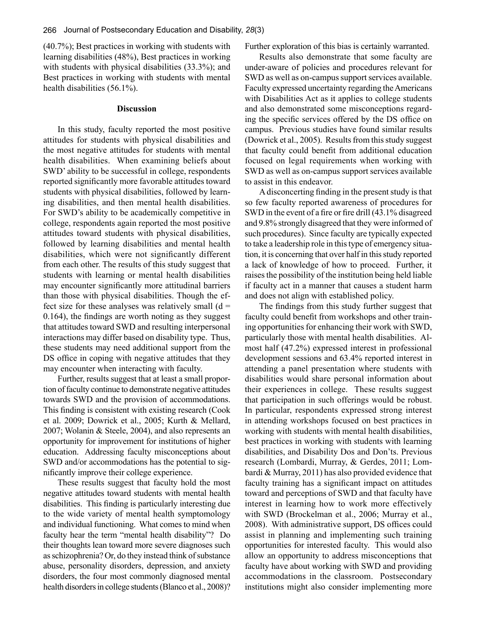(40.7%); Best practices in working with students with learning disabilities (48%), Best practices in working with students with physical disabilities (33.3%); and Best practices in working with students with mental health disabilities (56.1%).

#### **Discussion**

In this study, faculty reported the most positive attitudes for students with physical disabilities and the most negative attitudes for students with mental health disabilities. When examining beliefs about SWD' ability to be successful in college, respondents reported significantly more favorable attitudes toward students with physical disabilities, followed by learning disabilities, and then mental health disabilities. For SWD's ability to be academically competitive in college, respondents again reported the most positive attitudes toward students with physical disabilities, followed by learning disabilities and mental health disabilities, which were not significantly different from each other. The results of this study suggest that students with learning or mental health disabilities may encounter significantly more attitudinal barriers than those with physical disabilities. Though the effect size for these analyses was relatively small  $(d =$ 0.164), the findings are worth noting as they suggest that attitudes toward SWD and resulting interpersonal interactions may differ based on disability type. Thus, these students may need additional support from the DS office in coping with negative attitudes that they may encounter when interacting with faculty.

Further, results suggest that at least a small proportion of faculty continue to demonstrate negative attitudes towards SWD and the provision of accommodations. This finding is consistent with existing research (Cook et al. 2009; Dowrick et al., 2005; Kurth & Mellard, 2007; Wolanin & Steele, 2004), and also represents an opportunity for improvement for institutions of higher education. Addressing faculty misconceptions about SWD and/or accommodations has the potential to significantly improve their college experience.

These results suggest that faculty hold the most negative attitudes toward students with mental health disabilities. This finding is particularly interesting due to the wide variety of mental health symptomology and individual functioning. What comes to mind when faculty hear the term "mental health disability"? Do their thoughts lean toward more severe diagnoses such as schizophrenia? Or, do they instead think of substance abuse, personality disorders, depression, and anxiety disorders, the four most commonly diagnosed mental health disorders in college students (Blanco et al., 2008)?

Further exploration of this bias is certainly warranted.

Results also demonstrate that some faculty are under-aware of policies and procedures relevant for SWD as well as on-campus support services available. Faculty expressed uncertainty regarding the Americans with Disabilities Act as it applies to college students and also demonstrated some misconceptions regarding the specific services offered by the DS office on campus. Previous studies have found similar results (Dowrick et al., 2005). Results from this study suggest that faculty could benefit from additional education focused on legal requirements when working with SWD as well as on-campus support services available to assist in this endeavor.

A disconcerting finding in the present study is that so few faculty reported awareness of procedures for SWD in the event of a fire or fire drill (43.1% disagreed and 9.8% strongly disagreed that they were informed of such procedures). Since faculty are typically expected to take a leadership role in this type of emergency situation, it is concerning that over half in this study reported a lack of knowledge of how to proceed. Further, it raises the possibility of the institution being held liable if faculty act in a manner that causes a student harm and does not align with established policy.

The findings from this study further suggest that faculty could benefit from workshops and other training opportunities for enhancing their work with SWD, particularly those with mental health disabilities. Almost half (47.2%) expressed interest in professional development sessions and 63.4% reported interest in attending a panel presentation where students with disabilities would share personal information about their experiences in college. These results suggest that participation in such offerings would be robust. In particular, respondents expressed strong interest in attending workshops focused on best practices in working with students with mental health disabilities, best practices in working with students with learning disabilities, and Disability Dos and Don'ts. Previous research (Lombardi, Murray, & Gerdes, 2011; Lombardi & Murray, 2011) has also provided evidence that faculty training has a significant impact on attitudes toward and perceptions of SWD and that faculty have interest in learning how to work more effectively with SWD (Brockelman et al., 2006; Murray et al., 2008). With administrative support, DS offices could assist in planning and implementing such training opportunities for interested faculty. This would also allow an opportunity to address misconceptions that faculty have about working with SWD and providing accommodations in the classroom. Postsecondary institutions might also consider implementing more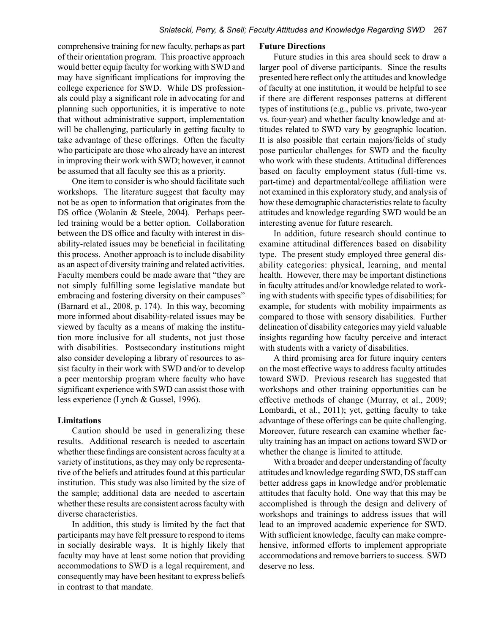comprehensive training for new faculty, perhaps as part of their orientation program. This proactive approach would better equip faculty for working with SWD and may have significant implications for improving the college experience for SWD. While DS professionals could play a significant role in advocating for and planning such opportunities, it is imperative to note that without administrative support, implementation will be challenging, particularly in getting faculty to take advantage of these offerings. Often the faculty who participate are those who already have an interest in improving their work with SWD; however, it cannot be assumed that all faculty see this as a priority.

One item to consider is who should facilitate such workshops. The literature suggest that faculty may not be as open to information that originates from the DS office (Wolanin & Steele, 2004). Perhaps peerled training would be a better option. Collaboration between the DS office and faculty with interest in disability-related issues may be beneficial in facilitating this process. Another approach is to include disability as an aspect of diversity training and related activities. Faculty members could be made aware that "they are not simply fulfilling some legislative mandate but embracing and fostering diversity on their campuses" (Barnard et al., 2008, p. 174). In this way, becoming more informed about disability-related issues may be viewed by faculty as a means of making the institution more inclusive for all students, not just those with disabilities. Postsecondary institutions might also consider developing a library of resources to assist faculty in their work with SWD and/or to develop a peer mentorship program where faculty who have significant experience with SWD can assist those with less experience (Lynch & Gussel, 1996).

# **Limitations**

Caution should be used in generalizing these results. Additional research is needed to ascertain whether these findings are consistent across faculty at a variety of institutions, as they may only be representative of the beliefs and attitudes found at this particular institution. This study was also limited by the size of the sample; additional data are needed to ascertain whether these results are consistent across faculty with diverse characteristics.

In addition, this study is limited by the fact that participants may have felt pressure to respond to items in socially desirable ways. It is highly likely that faculty may have at least some notion that providing accommodations to SWD is a legal requirement, and consequently may have been hesitant to express beliefs in contrast to that mandate.

### **Future Directions**

Future studies in this area should seek to draw a larger pool of diverse participants. Since the results presented here reflect only the attitudes and knowledge of faculty at one institution, it would be helpful to see if there are different responses patterns at different types of institutions (e.g., public vs. private, two-year vs. four-year) and whether faculty knowledge and attitudes related to SWD vary by geographic location. It is also possible that certain majors/fields of study pose particular challenges for SWD and the faculty who work with these students. Attitudinal differences based on faculty employment status (full-time vs. part-time) and departmental/college affiliation were not examined in this exploratory study, and analysis of how these demographic characteristics relate to faculty attitudes and knowledge regarding SWD would be an interesting avenue for future research.

In addition, future research should continue to examine attitudinal differences based on disability type. The present study employed three general disability categories: physical, learning, and mental health. However, there may be important distinctions in faculty attitudes and/or knowledge related to working with students with specific types of disabilities; for example, for students with mobility impairments as compared to those with sensory disabilities. Further delineation of disability categories may yield valuable insights regarding how faculty perceive and interact with students with a variety of disabilities.

A third promising area for future inquiry centers on the most effective ways to address faculty attitudes toward SWD. Previous research has suggested that workshops and other training opportunities can be effective methods of change (Murray, et al., 2009; Lombardi, et al., 2011); yet, getting faculty to take advantage of these offerings can be quite challenging. Moreover, future research can examine whether faculty training has an impact on actions toward SWD or whether the change is limited to attitude.

With a broader and deeper understanding of faculty attitudes and knowledge regarding SWD, DS staff can better address gaps in knowledge and/or problematic attitudes that faculty hold. One way that this may be accomplished is through the design and delivery of workshops and trainings to address issues that will lead to an improved academic experience for SWD. With sufficient knowledge, faculty can make comprehensive, informed efforts to implement appropriate accommodations and remove barriers to success. SWD deserve no less.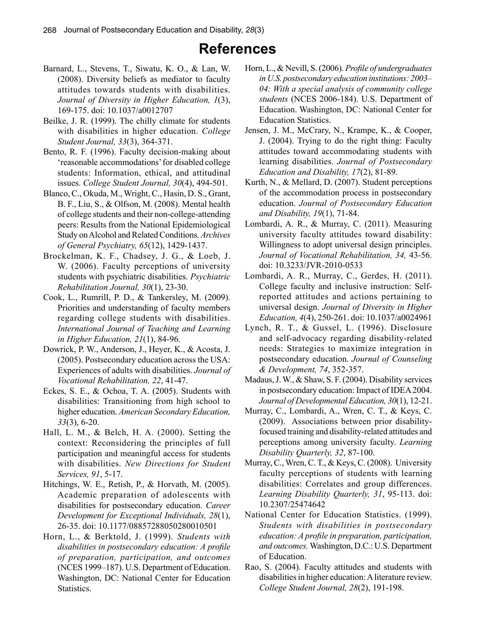# **References**

- Barnard, L., Stevens, T., Siwatu, K. O., & Lan, W. (2008). Diversity beliefs as mediator to faculty attitudes towards students with disabilities. *Journal of Diversity in Higher Education, 1*(3), 169-175. doi: 10.1037/a0012707
- Beilke, J. R. (1999). The chilly climate for students with disabilities in higher education. *College Student Journal, 33*(3), 364-371.
- Bento, R. F. (1996). Faculty decision-making about 'reasonable accommodations' for disabled college students: Information, ethical, and attitudinal issues. *College Student Journal, 30*(4), 494-501.
- Blanco, C., Okuda, M., Wright, C., Hasin, D. S., Grant, B. F., Liu, S., & Olfson, M. (2008). Mental health of college students and their non-college-attending peers: Results from the National Epidemiological Study on Alcohol and Related Conditions. *Archives of General Psychiatry, 65*(12), 1429-1437.
- Brockelman, K. F., Chadsey, J. G., & Loeb, J. W. (2006). Faculty perceptions of university students with psychiatric disabilities. *Psychiatric Rehabilitation Journal, 30*(1), 23-30.
- Cook, L., Rumrill, P. D., & Tankersley, M. (2009). Priorities and understanding of faculty members regarding college students with disabilities. *International Journal of Teaching and Learning in Higher Education, 21*(1), 84-96.
- Dowrick, P. W., Anderson, J., Heyer, K., & Acosta, J. (2005). Postsecondary education across the USA: Experiences of adults with disabilities. *Journal of Vocational Rehabilitation, 22*, 41-47.
- Eckes, S. E., & Ochoa, T. A. (2005). Students with disabilities: Transitioning from high school to higher education. *American Secondary Education, 33*(3), 6-20.
- Hall, L. M., & Belch, H. A. (2000). Setting the context: Reconsidering the principles of full participation and meaningful access for students with disabilities. *New Directions for Student Services, 91*, 5-17.
- Hitchings, W. E., Retish, P., & Horvath, M. (2005). Academic preparation of adolescents with disabilities for postsecondary education. *Career Development for Exceptional Individuals, 28*(1), 26-35. doi: 10.1177/08857288050280010501
- Horn, L., & Berktold, J. (1999). *Students with disabilities in postsecondary education: A profile of preparation, participation, and outcomes* (NCES 1999–187). U.S. Department of Education. Washington, DC: National Center for Education Statistics.
- Horn, L., & Nevill, S. (2006). *Profile of undergraduates in U.S. postsecondary education institutions: 2003– 04: With a special analysis of community college students* (NCES 2006-184). U.S. Department of Education. Washington, DC: National Center for Education Statistics.
- Jensen, J. M., McCrary, N., Krampe, K., & Cooper, J. (2004). Trying to do the right thing: Faculty attitudes toward accommodating students with learning disabilities. *Journal of Postsecondary Education and Disability, 17*(2), 81-89.
- Kurth, N., & Mellard, D. (2007). Student perceptions of the accommodation process in postsecondary education. *Journal of Postsecondary Education and Disability, 19*(1), 71-84.
- Lombardi, A. R., & Murray, C. (2011). Measuring university faculty attitudes toward disability: Willingness to adopt universal design principles. *Journal of Vocational Rehabilitation, 34,* 43-56. doi: 10.3233/JVR-2010-0533
- Lombardi, A. R., Murray, C., Gerdes, H. (2011). College faculty and inclusive instruction: Selfreported attitudes and actions pertaining to universal design. *Journal of Diversity in Higher Education, 4*(4), 250-261. doi: 10.1037/a0024961
- Lynch, R. T., & Gussel, L. (1996). Disclosure and self-advocacy regarding disability-related needs: Strategies to maximize integration in postsecondary education. *Journal of Counseling & Development, 74*, 352-357.
- Madaus, J. W., & Shaw, S. F. (2004). Disability services in postsecondary education: Impact of IDEA 2004. *Journal of Developmental Education, 30*(1), 12-21.
- Murray, C., Lombardi, A., Wren, C. T., & Keys, C. (2009). Associations between prior disabilityfocused training and disability-related attitudes and perceptions among university faculty. *Learning Disability Quarterly, 32*, 87-100.
- Murray, C., Wren, C. T., & Keys, C. (2008). University faculty perceptions of students with learning disabilities: Correlates and group differences. *Learning Disability Quarterly, 31*, 95-113. doi: 10.2307/25474642
- National Center for Education Statistics. (1999). *Students with disabilities in postsecondary education: A profile in preparation, participation, and outcomes.* Washington, D.C.: U.S. Department of Education.
- Rao, S. (2004). Faculty attitudes and students with disabilities in higher education: A literature review. *College Student Journal, 28*(2), 191-198.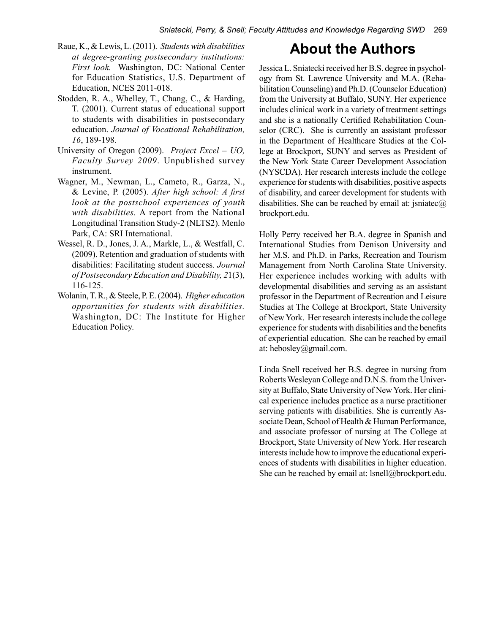- Raue, K., & Lewis, L. (2011). *Students with disabilities at degree-granting postsecondary institutions: First look.* Washington, DC: National Center for Education Statistics, U.S. Department of Education, NCES 2011-018.
- Stodden, R. A., Whelley, T., Chang, C., & Harding, T. (2001). Current status of educational support to students with disabilities in postsecondary education. *Journal of Vocational Rehabilitation, 16*, 189-198.
- University of Oregon (2009). *Project Excel UO, Faculty Survey 2009*. Unpublished survey instrument.
- Wagner, M., Newman, L., Cameto, R., Garza, N., & Levine, P. (2005). *After high school: A first look at the postschool experiences of youth with disabilities.* A report from the National Longitudinal Transition Study-2 (NLTS2). Menlo Park, CA: SRI International.
- Wessel, R. D., Jones, J. A., Markle, L., & Westfall, C. (2009). Retention and graduation of students with disabilities: Facilitating student success. *Journal of Postsecondary Education and Disability, 2*1(3), 116-125.
- Wolanin, T. R., & Steele, P. E. (2004). *Higher education opportunities for students with disabilities.*  Washington, DC: The Institute for Higher Education Policy.

# **About the Authors**

Jessica L. Sniatecki received her B.S. degree in psychology from St. Lawrence University and M.A. (Rehabilitation Counseling) and Ph.D. (Counselor Education) from the University at Buffalo, SUNY. Her experience includes clinical work in a variety of treatment settings and she is a nationally Certified Rehabilitation Counselor (CRC). She is currently an assistant professor in the Department of Healthcare Studies at the College at Brockport, SUNY and serves as President of the New York State Career Development Association (NYSCDA). Her research interests include the college experience for students with disabilities, positive aspects of disability, and career development for students with disabilities. She can be reached by email at: jsniatec $\omega$ brockport.edu.

Holly Perry received her B.A. degree in Spanish and International Studies from Denison University and her M.S. and Ph.D. in Parks, Recreation and Tourism Management from North Carolina State University. Her experience includes working with adults with developmental disabilities and serving as an assistant professor in the Department of Recreation and Leisure Studies at The College at Brockport, State University of New York. Her research interests include the college experience for students with disabilities and the benefits of experiential education. She can be reached by email at: hebosley@gmail.com.

Linda Snell received her B.S. degree in nursing from Roberts Wesleyan College and D.N.S. from the University at Buffalo, State University of New York. Her clinical experience includes practice as a nurse practitioner serving patients with disabilities. She is currently Associate Dean, School of Health & Human Performance, and associate professor of nursing at The College at Brockport, State University of New York. Her research interests include how to improve the educational experiences of students with disabilities in higher education. She can be reached by email at: lsnell@brockport.edu.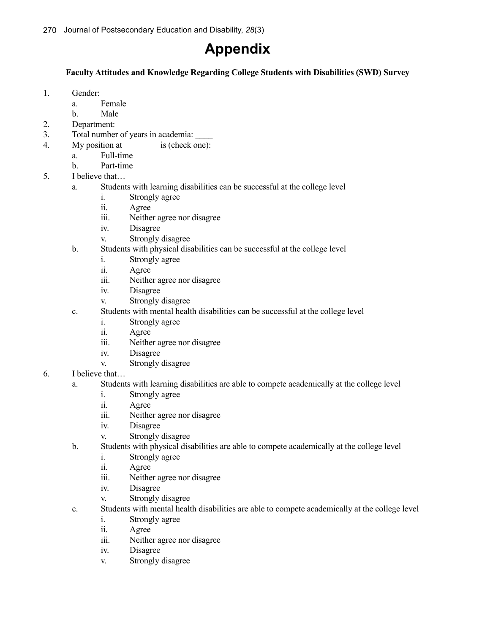# **Appendix**

# **Faculty Attitudes and Knowledge Regarding College Students with Disabilities (SWD) Survey**

- 1. Gender:
	- a. Female
	- b. Male
- 2. Department:
- 3. Total number of years in academia: \_\_\_\_
- 4. My position at is (check one):
- a. Full-time
	- b. Part-time
- 5. I believe that…
	- a. Students with learning disabilities can be successful at the college level
		- i. Strongly agree
		- ii. Agree
		- iii. Neither agree nor disagree
		- iv. Disagree
		- v. Strongly disagree
	- b. Students with physical disabilities can be successful at the college level
		- i. Strongly agree
		- ii. Agree
		- iii. Neither agree nor disagree
		- iv. Disagree
		- v. Strongly disagree
	- c. Students with mental health disabilities can be successful at the college level
		- i. Strongly agree
		- ii. Agree
		- iii. Neither agree nor disagree
		- iv. Disagree
		- v. Strongly disagree
- 6. I believe that…
	- a. Students with learning disabilities are able to compete academically at the college level
		- i. Strongly agree
		- ii. Agree
		- iii. Neither agree nor disagree
		- iv. Disagree
		- v. Strongly disagree
	- b. Students with physical disabilities are able to compete academically at the college level
		- i. Strongly agree
		- ii. Agree
		- iii. Neither agree nor disagree
		- iv. Disagree
		- v. Strongly disagree
	- c. Students with mental health disabilities are able to compete academically at the college level
		- i. Strongly agree
		- ii. Agree
		- iii. Neither agree nor disagree
		- iv. Disagree
		- v. Strongly disagree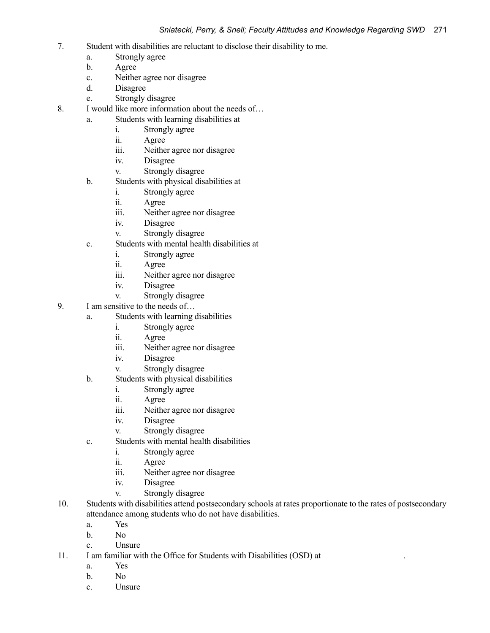- 7. Student with disabilities are reluctant to disclose their disability to me.
	- a. Strongly agree
	- b. Agree
	- c. Neither agree nor disagree
	- d. Disagree
	- e. Strongly disagree
- 8. I would like more information about the needs of…
	- a. Students with learning disabilities at
		- i. Strongly agree
		- ii. Agree
		- iii. Neither agree nor disagree
		- iv. Disagree
		- v. Strongly disagree
	- b. Students with physical disabilities at
		- i. Strongly agree
		- ii. Agree
		- iii. Neither agree nor disagree
		- iv. Disagree
		- v. Strongly disagree
	- c. Students with mental health disabilities at
		- i. Strongly agree
		- ii. Agree
		- iii. Neither agree nor disagree
		- iv. Disagree
		- v. Strongly disagree
- 9. I am sensitive to the needs of…
	- a. Students with learning disabilities
		- i. Strongly agree
		- ii. Agree
		- iii. Neither agree nor disagree
		- iv. Disagree
		- v. Strongly disagree
	- b. Students with physical disabilities
		- i. Strongly agree
		- ii. Agree
		- iii. Neither agree nor disagree
		- iv. Disagree
		- v. Strongly disagree
	- c. Students with mental health disabilities
		- i. Strongly agree
		- ii. Agree
		- iii. Neither agree nor disagree
		- iv. Disagree
		- v. Strongly disagree
- 10. Students with disabilities attend postsecondary schools at rates proportionate to the rates of postsecondary attendance among students who do not have disabilities.
	- a. Yes
	- b. No
	- c. Unsure
- 11. I am familiar with the Office for Students with Disabilities (OSD) at .
	- a. Yes
	- b. No
	- c. Unsure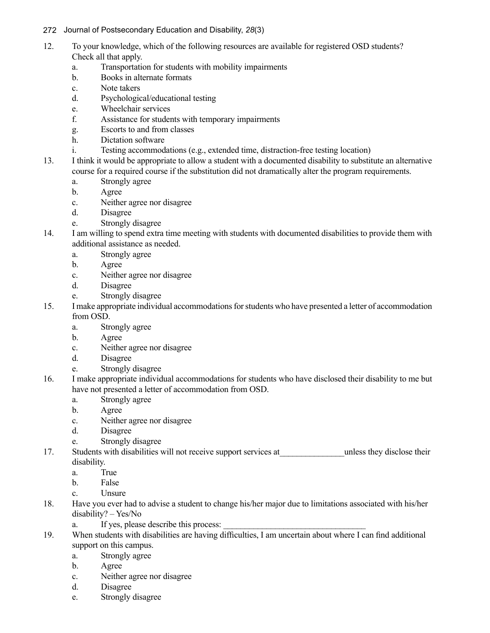# 272Journal of Postsecondary Education and Disability, *28*(3)

- 12. To your knowledge, which of the following resources are available for registered OSD students? Check all that apply.
	- a. Transportation for students with mobility impairments
	- b. Books in alternate formats
	- c. Note takers
	- d. Psychological/educational testing
	- e. Wheelchair services
	- f. Assistance for students with temporary impairments
	- g. Escorts to and from classes
	- h. Dictation software
	- i. Testing accommodations (e.g., extended time, distraction-free testing location)
- 13. I think it would be appropriate to allow a student with a documented disability to substitute an alternative course for a required course if the substitution did not dramatically alter the program requirements.
	- a. Strongly agree
	- b. Agree
	- c. Neither agree nor disagree
	- d. Disagree
	- e. Strongly disagree
- 14. I am willing to spend extra time meeting with students with documented disabilities to provide them with additional assistance as needed.
	- a. Strongly agree
	- b. Agree
	- c. Neither agree nor disagree
	- d. Disagree
	- e. Strongly disagree
- 15. I make appropriate individual accommodations for students who have presented a letter of accommodation from OSD.
	- a. Strongly agree
	- b. Agree
	- c. Neither agree nor disagree
	- d. Disagree
	- e. Strongly disagree
- 16. I make appropriate individual accommodations for students who have disclosed their disability to me but have not presented a letter of accommodation from OSD.
	- a. Strongly agree
	- b. Agree
	- c. Neither agree nor disagree
	- d. Disagree
	- e. Strongly disagree
- 17. Students with disabilities will not receive support services at The Unless they disclose their disability.
	- a. True
	- b. False
	- c. Unsure
- 18. Have you ever had to advise a student to change his/her major due to limitations associated with his/her disability? – Yes/No
	- a. If yes, please describe this process:
- 19. When students with disabilities are having difficulties, I am uncertain about where I can find additional support on this campus.
	- a. Strongly agree
	- b. Agree
	- c. Neither agree nor disagree
	- d. Disagree
	- e. Strongly disagree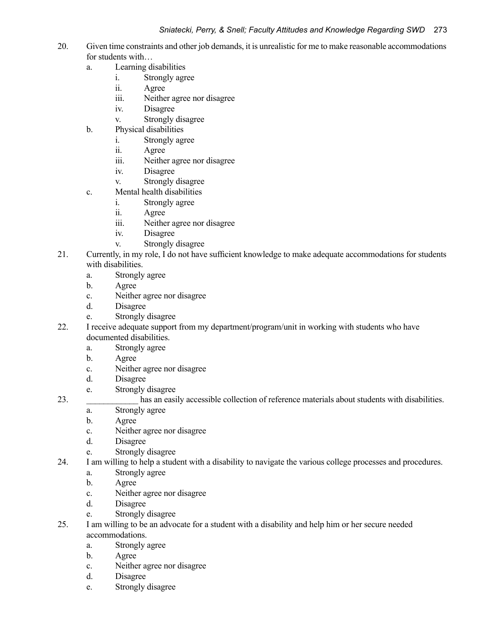- 20. Given time constraints and other job demands, it is unrealistic for me to make reasonable accommodations for students with…
	- a. Learning disabilities
		- i. Strongly agree
		- ii. Agree
		- iii. Neither agree nor disagree
		- iv. Disagree
		- v. Strongly disagree
	- b. Physical disabilities
		- i. Strongly agree
		- ii. Agree
		- iii. Neither agree nor disagree
		- iv. Disagree
		- v. Strongly disagree
	- c. Mental health disabilities
		- i. Strongly agree
		- ii. Agree
		- iii. Neither agree nor disagree
		- iv. Disagree
		- v. Strongly disagree
- 21. Currently, in my role, I do not have sufficient knowledge to make adequate accommodations for students with disabilities.
	- a. Strongly agree
	- b. Agree
	- c. Neither agree nor disagree
	- d. Disagree
	- e. Strongly disagree
- 22. I receive adequate support from my department/program/unit in working with students who have documented disabilities.
	- a. Strongly agree
	- b. Agree
	- c. Neither agree nor disagree
	- d. Disagree
	- e. Strongly disagree
- 23. has an easily accessible collection of reference materials about students with disabilities.
	- a. Strongly agree
	- b. Agree
	- c. Neither agree nor disagree
	- d. Disagree
	- e. Strongly disagree
- 24. I am willing to help a student with a disability to navigate the various college processes and procedures.
	- a. Strongly agree
	- b. Agree
	- c. Neither agree nor disagree
	- d. Disagree
	- e. Strongly disagree
- 25. I am willing to be an advocate for a student with a disability and help him or her secure needed accommodations.
	- a. Strongly agree
	- b. Agree
	- c. Neither agree nor disagree
	- d. Disagree
	- e. Strongly disagree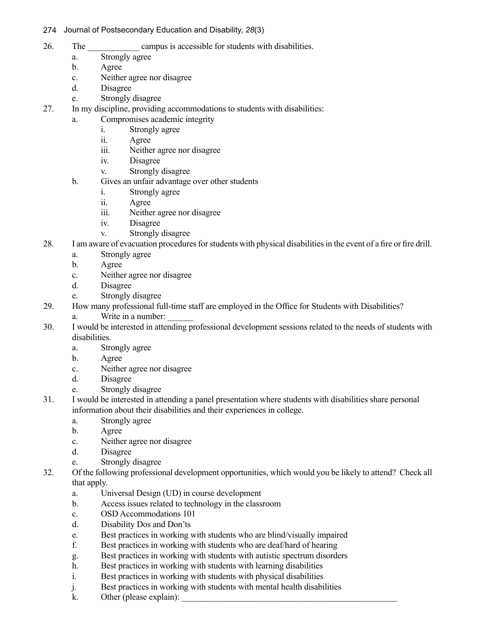# 274Journal of Postsecondary Education and Disability, *28*(3)

- 26. The campus is accessible for students with disabilities.
	- a. Strongly agree
	- b. Agree
	- c. Neither agree nor disagree
	- d. Disagree
	- e. Strongly disagree
- 27. In my discipline, providing accommodations to students with disabilities:
	- a. Compromises academic integrity
		- i. Strongly agree
		- ii. Agree
		- iii. Neither agree nor disagree
		- iv. Disagree
		- v. Strongly disagree
	- b. Gives an unfair advantage over other students
		- i. Strongly agree
		- ii. Agree
		- iii. Neither agree nor disagree
		- iv. Disagree
		- v. Strongly disagree
- 28. I am aware of evacuation procedures for students with physical disabilities in the event of a fire or fire drill.
	- a. Strongly agree
	- b. Agree
	- c. Neither agree nor disagree
	- d. Disagree
	- e. Strongly disagree
- 29. How many professional full-time staff are employed in the Office for Students with Disabilities?
	- a. Write in a number:
- 30. I would be interested in attending professional development sessions related to the needs of students with disabilities.
	- a. Strongly agree
	- b. Agree
	- c. Neither agree nor disagree
	- d. Disagree
	- e. Strongly disagree
- 31. I would be interested in attending a panel presentation where students with disabilities share personal information about their disabilities and their experiences in college.
	- a. Strongly agree
	- b. Agree
	- c. Neither agree nor disagree
	- d. Disagree
	- e. Strongly disagree
- 32. Of the following professional development opportunities, which would you be likely to attend? Check all that apply.
	- a. Universal Design (UD) in course development
	- b. Access issues related to technology in the classroom
	- c. OSD Accommodations 101
	- d. Disability Dos and Don'ts
	- e. Best practices in working with students who are blind/visually impaired
	- f. Best practices in working with students who are deaf/hard of hearing
	- g. Best practices in working with students with autistic spectrum disorders
	- h. Best practices in working with students with learning disabilities
	- i. Best practices in working with students with physical disabilities
	- j. Best practices in working with students with mental health disabilities
	- k. Other (please explain):